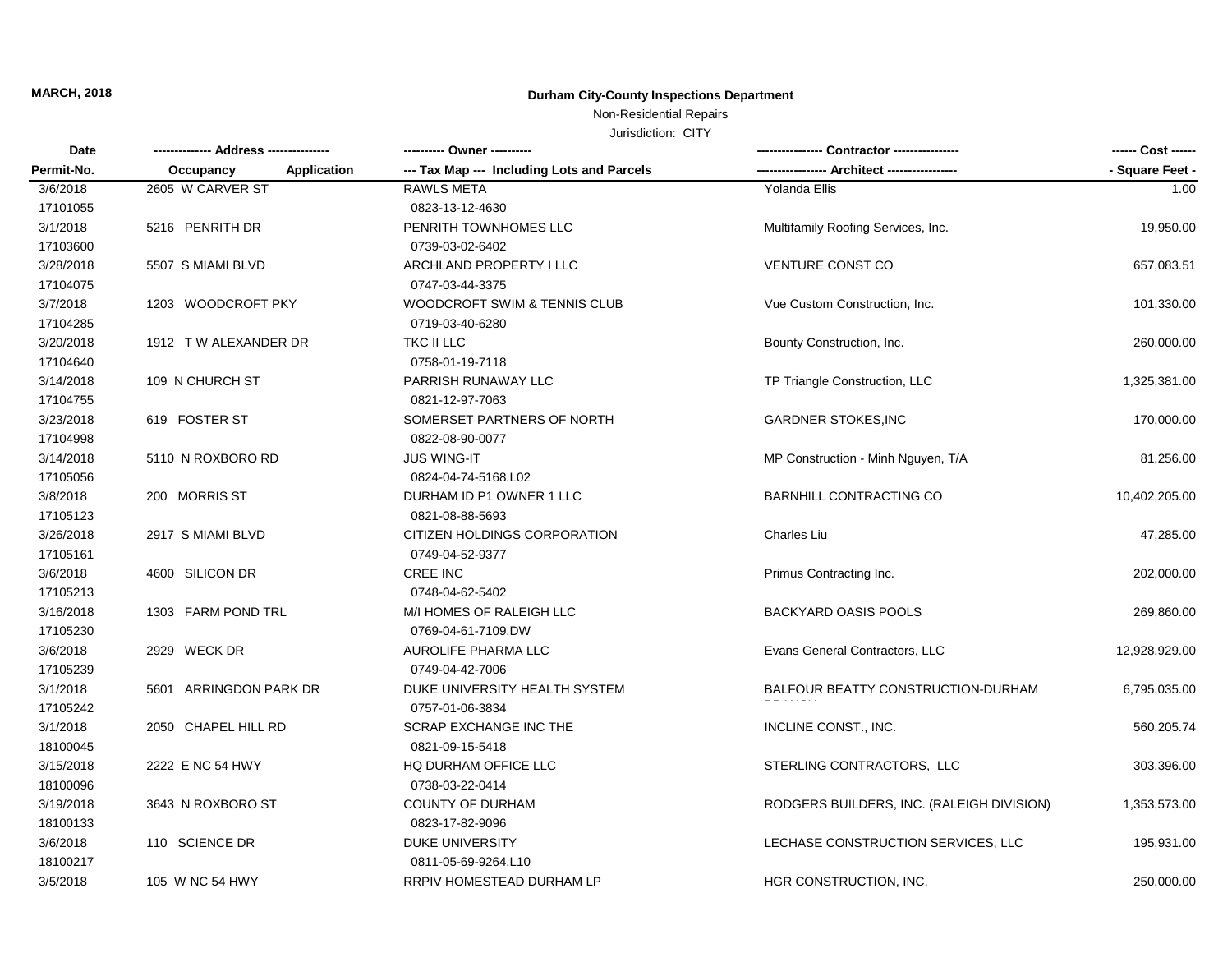## Non-Residential Repairs

| Date<br>Permit-No. |                                 | ---------- Owner ----------                |                                           | ------ Cost ------ |
|--------------------|---------------------------------|--------------------------------------------|-------------------------------------------|--------------------|
|                    | <b>Application</b><br>Occupancy | --- Tax Map --- Including Lots and Parcels | --- Architect ------------                | - Square Feet -    |
| 3/6/2018           | 2605 W CARVER ST                | <b>RAWLS META</b>                          | Yolanda Ellis                             | 1.00               |
| 17101055           |                                 | 0823-13-12-4630                            |                                           |                    |
| 3/1/2018           | 5216 PENRITH DR                 | PENRITH TOWNHOMES LLC                      | Multifamily Roofing Services, Inc.        | 19,950.00          |
| 17103600           |                                 | 0739-03-02-6402                            |                                           |                    |
| 3/28/2018          | 5507 S MIAMI BLVD               | ARCHLAND PROPERTY I LLC                    | <b>VENTURE CONST CO</b>                   | 657,083.51         |
| 17104075           |                                 | 0747-03-44-3375                            |                                           |                    |
| 3/7/2018           | 1203 WOODCROFT PKY              | WOODCROFT SWIM & TENNIS CLUB               | Vue Custom Construction, Inc.             | 101,330.00         |
| 17104285           |                                 | 0719-03-40-6280                            |                                           |                    |
| 3/20/2018          | 1912 TW ALEXANDER DR            | TKC II LLC                                 | Bounty Construction, Inc.                 | 260,000.00         |
| 17104640           |                                 | 0758-01-19-7118                            |                                           |                    |
| 3/14/2018          | 109 N CHURCH ST                 | PARRISH RUNAWAY LLC                        | TP Triangle Construction, LLC             | 1,325,381.00       |
| 17104755           |                                 | 0821-12-97-7063                            |                                           |                    |
| 3/23/2018          | 619 FOSTER ST                   | SOMERSET PARTNERS OF NORTH                 | <b>GARDNER STOKES, INC</b>                | 170,000.00         |
| 17104998           |                                 | 0822-08-90-0077                            |                                           |                    |
| 3/14/2018          | 5110 N ROXBORO RD               | <b>JUS WING-IT</b>                         | MP Construction - Minh Nguyen, T/A        | 81,256.00          |
| 17105056           |                                 | 0824-04-74-5168.L02                        |                                           |                    |
| 3/8/2018           | 200 MORRIS ST                   | DURHAM ID P1 OWNER 1 LLC                   | BARNHILL CONTRACTING CO                   | 10,402,205.00      |
| 17105123           |                                 | 0821-08-88-5693                            |                                           |                    |
| 3/26/2018          | 2917 S MIAMI BLVD               | CITIZEN HOLDINGS CORPORATION               | <b>Charles Liu</b>                        | 47,285.00          |
| 17105161           |                                 | 0749-04-52-9377                            |                                           |                    |
| 3/6/2018           | 4600 SILICON DR                 | <b>CREE INC</b>                            | Primus Contracting Inc.                   | 202,000.00         |
| 17105213           |                                 | 0748-04-62-5402                            |                                           |                    |
| 3/16/2018          | 1303 FARM POND TRL              | M/I HOMES OF RALEIGH LLC                   | BACKYARD OASIS POOLS                      | 269,860.00         |
| 17105230           |                                 | 0769-04-61-7109.DW                         |                                           |                    |
| 3/6/2018           | 2929 WECK DR                    | AUROLIFE PHARMA LLC                        | Evans General Contractors, LLC            | 12,928,929.00      |
| 17105239           |                                 | 0749-04-42-7006                            |                                           |                    |
| 3/1/2018           | 5601 ARRINGDON PARK DR          | DUKE UNIVERSITY HEALTH SYSTEM              | BALFOUR BEATTY CONSTRUCTION-DURHAM        | 6,795,035.00       |
| 17105242           |                                 | 0757-01-06-3834                            |                                           |                    |
| 3/1/2018           | 2050 CHAPEL HILL RD             | <b>SCRAP EXCHANGE INC THE</b>              | INCLINE CONST., INC.                      | 560,205.74         |
| 18100045           |                                 | 0821-09-15-5418                            |                                           |                    |
| 3/15/2018          | 2222 E NC 54 HWY                | HQ DURHAM OFFICE LLC                       | STERLING CONTRACTORS, LLC                 | 303,396.00         |
| 18100096           |                                 | 0738-03-22-0414                            |                                           |                    |
| 3/19/2018          | 3643 N ROXBORO ST               | <b>COUNTY OF DURHAM</b>                    | RODGERS BUILDERS, INC. (RALEIGH DIVISION) | 1,353,573.00       |
| 18100133           |                                 | 0823-17-82-9096                            |                                           |                    |
| 3/6/2018           | 110 SCIENCE DR                  | <b>DUKE UNIVERSITY</b>                     | LECHASE CONSTRUCTION SERVICES, LLC        | 195,931.00         |
| 18100217           |                                 | 0811-05-69-9264.L10                        |                                           |                    |
| 3/5/2018           | 105 W NC 54 HWY                 | RRPIV HOMESTEAD DURHAM LP                  | HGR CONSTRUCTION, INC.                    | 250,000.00         |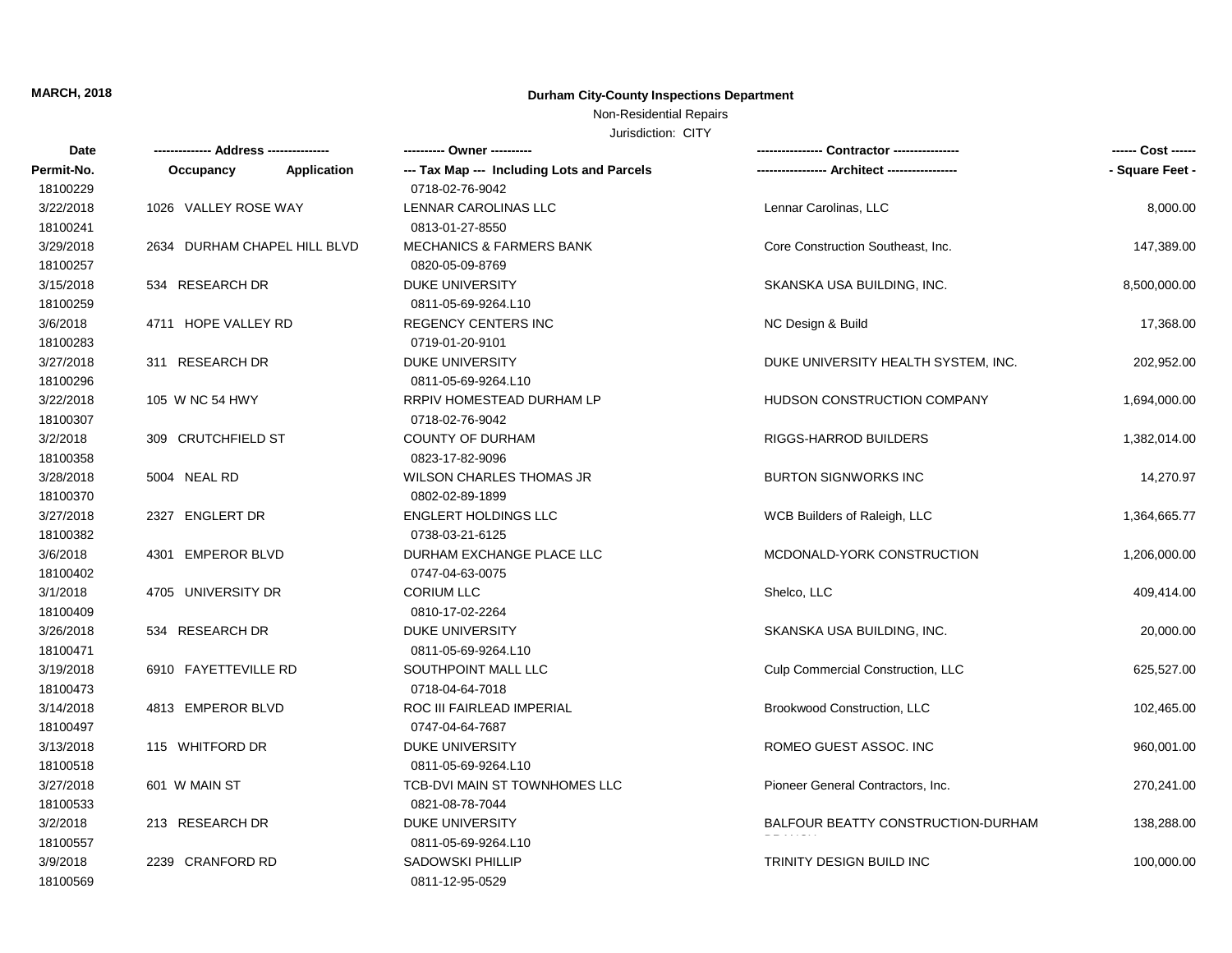### Non-Residential Repairs

| - Square Feet -<br>Permit-No.<br><b>Application</b><br>--- Tax Map --- Including Lots and Parcels<br>Occupancy<br>18100229<br>0718-02-76-9042<br>3/22/2018<br>1026 VALLEY ROSE WAY<br>LENNAR CAROLINAS LLC<br>Lennar Carolinas, LLC<br>8,000.00<br>18100241<br>0813-01-27-8550<br>3/29/2018<br>2634 DURHAM CHAPEL HILL BLVD<br><b>MECHANICS &amp; FARMERS BANK</b><br>Core Construction Southeast, Inc.<br>147,389.00<br>18100257<br>0820-05-09-8769<br>3/15/2018<br>534 RESEARCH DR<br><b>DUKE UNIVERSITY</b><br>SKANSKA USA BUILDING, INC.<br>8,500,000.00<br>18100259<br>0811-05-69-9264.L10<br>4711 HOPE VALLEY RD<br><b>REGENCY CENTERS INC</b><br>3/6/2018<br>NC Design & Build<br>17,368.00<br>18100283<br>0719-01-20-9101<br>3/27/2018<br>311 RESEARCH DR<br><b>DUKE UNIVERSITY</b><br>DUKE UNIVERSITY HEALTH SYSTEM, INC.<br>202,952.00<br>18100296<br>0811-05-69-9264.L10<br>RRPIV HOMESTEAD DURHAM LP<br>HUDSON CONSTRUCTION COMPANY<br>3/22/2018<br>105 W NC 54 HWY<br>1,694,000.00<br>18100307<br>0718-02-76-9042<br>3/2/2018<br>309 CRUTCHFIELD ST<br><b>COUNTY OF DURHAM</b><br>RIGGS-HARROD BUILDERS<br>1,382,014.00<br>18100358<br>0823-17-82-9096<br><b>BURTON SIGNWORKS INC</b><br>3/28/2018<br>5004 NEAL RD<br><b>WILSON CHARLES THOMAS JR</b><br>14,270.97<br>18100370<br>0802-02-89-1899<br>3/27/2018<br>2327 ENGLERT DR<br><b>ENGLERT HOLDINGS LLC</b><br>WCB Builders of Raleigh, LLC<br>1,364,665.77<br>18100382<br>0738-03-21-6125<br>3/6/2018<br>DURHAM EXCHANGE PLACE LLC<br>4301 EMPEROR BLVD<br>MCDONALD-YORK CONSTRUCTION<br>1,206,000.00<br>18100402<br>0747-04-63-0075<br>3/1/2018<br>4705 UNIVERSITY DR<br><b>CORIUM LLC</b><br>Shelco, LLC<br>409,414.00<br>18100409<br>0810-17-02-2264<br>3/26/2018<br>534 RESEARCH DR<br><b>DUKE UNIVERSITY</b><br>SKANSKA USA BUILDING, INC.<br>20,000.00<br>18100471<br>0811-05-69-9264.L10<br>3/19/2018<br>6910 FAYETTEVILLE RD<br>SOUTHPOINT MALL LLC<br>Culp Commercial Construction, LLC<br>625,527.00<br>18100473<br>0718-04-64-7018<br>3/14/2018<br>4813 EMPEROR BLVD<br>ROC III FAIRLEAD IMPERIAL<br>Brookwood Construction, LLC<br>102,465.00<br>18100497<br>0747-04-64-7687<br>3/13/2018<br>ROMEO GUEST ASSOC. INC<br>115 WHITFORD DR<br>DUKE UNIVERSITY<br>960,001.00<br>18100518<br>0811-05-69-9264.L10<br>3/27/2018<br>TCB-DVI MAIN ST TOWNHOMES LLC<br>Pioneer General Contractors, Inc.<br>601 W MAIN ST<br>270,241.00<br>18100533<br>0821-08-78-7044<br>3/2/2018<br>213 RESEARCH DR<br><b>DUKE UNIVERSITY</b><br>BALFOUR BEATTY CONSTRUCTION-DURHAM<br>138,288.00<br>18100557<br>0811-05-69-9264.L10<br>3/9/2018<br>2239 CRANFORD RD<br><b>SADOWSKI PHILLIP</b><br>TRINITY DESIGN BUILD INC<br>100,000.00 | Date     | ----- Address -------------- |  | ---------- Owner ---------- | ------ Cost ------ |
|-------------------------------------------------------------------------------------------------------------------------------------------------------------------------------------------------------------------------------------------------------------------------------------------------------------------------------------------------------------------------------------------------------------------------------------------------------------------------------------------------------------------------------------------------------------------------------------------------------------------------------------------------------------------------------------------------------------------------------------------------------------------------------------------------------------------------------------------------------------------------------------------------------------------------------------------------------------------------------------------------------------------------------------------------------------------------------------------------------------------------------------------------------------------------------------------------------------------------------------------------------------------------------------------------------------------------------------------------------------------------------------------------------------------------------------------------------------------------------------------------------------------------------------------------------------------------------------------------------------------------------------------------------------------------------------------------------------------------------------------------------------------------------------------------------------------------------------------------------------------------------------------------------------------------------------------------------------------------------------------------------------------------------------------------------------------------------------------------------------------------------------------------------------------------------------------------------------------------------------------------------------------------------------------------------------------------------------------------------------------------------------------------------------------------------------------------------------------------------------------------------------------------------------------------------------------------------------------------------------------------------------------------------------------------------------------------|----------|------------------------------|--|-----------------------------|--------------------|
|                                                                                                                                                                                                                                                                                                                                                                                                                                                                                                                                                                                                                                                                                                                                                                                                                                                                                                                                                                                                                                                                                                                                                                                                                                                                                                                                                                                                                                                                                                                                                                                                                                                                                                                                                                                                                                                                                                                                                                                                                                                                                                                                                                                                                                                                                                                                                                                                                                                                                                                                                                                                                                                                                                 |          |                              |  |                             |                    |
|                                                                                                                                                                                                                                                                                                                                                                                                                                                                                                                                                                                                                                                                                                                                                                                                                                                                                                                                                                                                                                                                                                                                                                                                                                                                                                                                                                                                                                                                                                                                                                                                                                                                                                                                                                                                                                                                                                                                                                                                                                                                                                                                                                                                                                                                                                                                                                                                                                                                                                                                                                                                                                                                                                 |          |                              |  |                             |                    |
|                                                                                                                                                                                                                                                                                                                                                                                                                                                                                                                                                                                                                                                                                                                                                                                                                                                                                                                                                                                                                                                                                                                                                                                                                                                                                                                                                                                                                                                                                                                                                                                                                                                                                                                                                                                                                                                                                                                                                                                                                                                                                                                                                                                                                                                                                                                                                                                                                                                                                                                                                                                                                                                                                                 |          |                              |  |                             |                    |
|                                                                                                                                                                                                                                                                                                                                                                                                                                                                                                                                                                                                                                                                                                                                                                                                                                                                                                                                                                                                                                                                                                                                                                                                                                                                                                                                                                                                                                                                                                                                                                                                                                                                                                                                                                                                                                                                                                                                                                                                                                                                                                                                                                                                                                                                                                                                                                                                                                                                                                                                                                                                                                                                                                 |          |                              |  |                             |                    |
|                                                                                                                                                                                                                                                                                                                                                                                                                                                                                                                                                                                                                                                                                                                                                                                                                                                                                                                                                                                                                                                                                                                                                                                                                                                                                                                                                                                                                                                                                                                                                                                                                                                                                                                                                                                                                                                                                                                                                                                                                                                                                                                                                                                                                                                                                                                                                                                                                                                                                                                                                                                                                                                                                                 |          |                              |  |                             |                    |
|                                                                                                                                                                                                                                                                                                                                                                                                                                                                                                                                                                                                                                                                                                                                                                                                                                                                                                                                                                                                                                                                                                                                                                                                                                                                                                                                                                                                                                                                                                                                                                                                                                                                                                                                                                                                                                                                                                                                                                                                                                                                                                                                                                                                                                                                                                                                                                                                                                                                                                                                                                                                                                                                                                 |          |                              |  |                             |                    |
|                                                                                                                                                                                                                                                                                                                                                                                                                                                                                                                                                                                                                                                                                                                                                                                                                                                                                                                                                                                                                                                                                                                                                                                                                                                                                                                                                                                                                                                                                                                                                                                                                                                                                                                                                                                                                                                                                                                                                                                                                                                                                                                                                                                                                                                                                                                                                                                                                                                                                                                                                                                                                                                                                                 |          |                              |  |                             |                    |
|                                                                                                                                                                                                                                                                                                                                                                                                                                                                                                                                                                                                                                                                                                                                                                                                                                                                                                                                                                                                                                                                                                                                                                                                                                                                                                                                                                                                                                                                                                                                                                                                                                                                                                                                                                                                                                                                                                                                                                                                                                                                                                                                                                                                                                                                                                                                                                                                                                                                                                                                                                                                                                                                                                 |          |                              |  |                             |                    |
|                                                                                                                                                                                                                                                                                                                                                                                                                                                                                                                                                                                                                                                                                                                                                                                                                                                                                                                                                                                                                                                                                                                                                                                                                                                                                                                                                                                                                                                                                                                                                                                                                                                                                                                                                                                                                                                                                                                                                                                                                                                                                                                                                                                                                                                                                                                                                                                                                                                                                                                                                                                                                                                                                                 |          |                              |  |                             |                    |
|                                                                                                                                                                                                                                                                                                                                                                                                                                                                                                                                                                                                                                                                                                                                                                                                                                                                                                                                                                                                                                                                                                                                                                                                                                                                                                                                                                                                                                                                                                                                                                                                                                                                                                                                                                                                                                                                                                                                                                                                                                                                                                                                                                                                                                                                                                                                                                                                                                                                                                                                                                                                                                                                                                 |          |                              |  |                             |                    |
|                                                                                                                                                                                                                                                                                                                                                                                                                                                                                                                                                                                                                                                                                                                                                                                                                                                                                                                                                                                                                                                                                                                                                                                                                                                                                                                                                                                                                                                                                                                                                                                                                                                                                                                                                                                                                                                                                                                                                                                                                                                                                                                                                                                                                                                                                                                                                                                                                                                                                                                                                                                                                                                                                                 |          |                              |  |                             |                    |
|                                                                                                                                                                                                                                                                                                                                                                                                                                                                                                                                                                                                                                                                                                                                                                                                                                                                                                                                                                                                                                                                                                                                                                                                                                                                                                                                                                                                                                                                                                                                                                                                                                                                                                                                                                                                                                                                                                                                                                                                                                                                                                                                                                                                                                                                                                                                                                                                                                                                                                                                                                                                                                                                                                 |          |                              |  |                             |                    |
|                                                                                                                                                                                                                                                                                                                                                                                                                                                                                                                                                                                                                                                                                                                                                                                                                                                                                                                                                                                                                                                                                                                                                                                                                                                                                                                                                                                                                                                                                                                                                                                                                                                                                                                                                                                                                                                                                                                                                                                                                                                                                                                                                                                                                                                                                                                                                                                                                                                                                                                                                                                                                                                                                                 |          |                              |  |                             |                    |
|                                                                                                                                                                                                                                                                                                                                                                                                                                                                                                                                                                                                                                                                                                                                                                                                                                                                                                                                                                                                                                                                                                                                                                                                                                                                                                                                                                                                                                                                                                                                                                                                                                                                                                                                                                                                                                                                                                                                                                                                                                                                                                                                                                                                                                                                                                                                                                                                                                                                                                                                                                                                                                                                                                 |          |                              |  |                             |                    |
|                                                                                                                                                                                                                                                                                                                                                                                                                                                                                                                                                                                                                                                                                                                                                                                                                                                                                                                                                                                                                                                                                                                                                                                                                                                                                                                                                                                                                                                                                                                                                                                                                                                                                                                                                                                                                                                                                                                                                                                                                                                                                                                                                                                                                                                                                                                                                                                                                                                                                                                                                                                                                                                                                                 |          |                              |  |                             |                    |
|                                                                                                                                                                                                                                                                                                                                                                                                                                                                                                                                                                                                                                                                                                                                                                                                                                                                                                                                                                                                                                                                                                                                                                                                                                                                                                                                                                                                                                                                                                                                                                                                                                                                                                                                                                                                                                                                                                                                                                                                                                                                                                                                                                                                                                                                                                                                                                                                                                                                                                                                                                                                                                                                                                 |          |                              |  |                             |                    |
|                                                                                                                                                                                                                                                                                                                                                                                                                                                                                                                                                                                                                                                                                                                                                                                                                                                                                                                                                                                                                                                                                                                                                                                                                                                                                                                                                                                                                                                                                                                                                                                                                                                                                                                                                                                                                                                                                                                                                                                                                                                                                                                                                                                                                                                                                                                                                                                                                                                                                                                                                                                                                                                                                                 |          |                              |  |                             |                    |
|                                                                                                                                                                                                                                                                                                                                                                                                                                                                                                                                                                                                                                                                                                                                                                                                                                                                                                                                                                                                                                                                                                                                                                                                                                                                                                                                                                                                                                                                                                                                                                                                                                                                                                                                                                                                                                                                                                                                                                                                                                                                                                                                                                                                                                                                                                                                                                                                                                                                                                                                                                                                                                                                                                 |          |                              |  |                             |                    |
|                                                                                                                                                                                                                                                                                                                                                                                                                                                                                                                                                                                                                                                                                                                                                                                                                                                                                                                                                                                                                                                                                                                                                                                                                                                                                                                                                                                                                                                                                                                                                                                                                                                                                                                                                                                                                                                                                                                                                                                                                                                                                                                                                                                                                                                                                                                                                                                                                                                                                                                                                                                                                                                                                                 |          |                              |  |                             |                    |
|                                                                                                                                                                                                                                                                                                                                                                                                                                                                                                                                                                                                                                                                                                                                                                                                                                                                                                                                                                                                                                                                                                                                                                                                                                                                                                                                                                                                                                                                                                                                                                                                                                                                                                                                                                                                                                                                                                                                                                                                                                                                                                                                                                                                                                                                                                                                                                                                                                                                                                                                                                                                                                                                                                 |          |                              |  |                             |                    |
|                                                                                                                                                                                                                                                                                                                                                                                                                                                                                                                                                                                                                                                                                                                                                                                                                                                                                                                                                                                                                                                                                                                                                                                                                                                                                                                                                                                                                                                                                                                                                                                                                                                                                                                                                                                                                                                                                                                                                                                                                                                                                                                                                                                                                                                                                                                                                                                                                                                                                                                                                                                                                                                                                                 |          |                              |  |                             |                    |
|                                                                                                                                                                                                                                                                                                                                                                                                                                                                                                                                                                                                                                                                                                                                                                                                                                                                                                                                                                                                                                                                                                                                                                                                                                                                                                                                                                                                                                                                                                                                                                                                                                                                                                                                                                                                                                                                                                                                                                                                                                                                                                                                                                                                                                                                                                                                                                                                                                                                                                                                                                                                                                                                                                 |          |                              |  |                             |                    |
|                                                                                                                                                                                                                                                                                                                                                                                                                                                                                                                                                                                                                                                                                                                                                                                                                                                                                                                                                                                                                                                                                                                                                                                                                                                                                                                                                                                                                                                                                                                                                                                                                                                                                                                                                                                                                                                                                                                                                                                                                                                                                                                                                                                                                                                                                                                                                                                                                                                                                                                                                                                                                                                                                                 |          |                              |  |                             |                    |
|                                                                                                                                                                                                                                                                                                                                                                                                                                                                                                                                                                                                                                                                                                                                                                                                                                                                                                                                                                                                                                                                                                                                                                                                                                                                                                                                                                                                                                                                                                                                                                                                                                                                                                                                                                                                                                                                                                                                                                                                                                                                                                                                                                                                                                                                                                                                                                                                                                                                                                                                                                                                                                                                                                 |          |                              |  |                             |                    |
|                                                                                                                                                                                                                                                                                                                                                                                                                                                                                                                                                                                                                                                                                                                                                                                                                                                                                                                                                                                                                                                                                                                                                                                                                                                                                                                                                                                                                                                                                                                                                                                                                                                                                                                                                                                                                                                                                                                                                                                                                                                                                                                                                                                                                                                                                                                                                                                                                                                                                                                                                                                                                                                                                                 |          |                              |  |                             |                    |
|                                                                                                                                                                                                                                                                                                                                                                                                                                                                                                                                                                                                                                                                                                                                                                                                                                                                                                                                                                                                                                                                                                                                                                                                                                                                                                                                                                                                                                                                                                                                                                                                                                                                                                                                                                                                                                                                                                                                                                                                                                                                                                                                                                                                                                                                                                                                                                                                                                                                                                                                                                                                                                                                                                 |          |                              |  |                             |                    |
|                                                                                                                                                                                                                                                                                                                                                                                                                                                                                                                                                                                                                                                                                                                                                                                                                                                                                                                                                                                                                                                                                                                                                                                                                                                                                                                                                                                                                                                                                                                                                                                                                                                                                                                                                                                                                                                                                                                                                                                                                                                                                                                                                                                                                                                                                                                                                                                                                                                                                                                                                                                                                                                                                                 |          |                              |  |                             |                    |
|                                                                                                                                                                                                                                                                                                                                                                                                                                                                                                                                                                                                                                                                                                                                                                                                                                                                                                                                                                                                                                                                                                                                                                                                                                                                                                                                                                                                                                                                                                                                                                                                                                                                                                                                                                                                                                                                                                                                                                                                                                                                                                                                                                                                                                                                                                                                                                                                                                                                                                                                                                                                                                                                                                 |          |                              |  |                             |                    |
|                                                                                                                                                                                                                                                                                                                                                                                                                                                                                                                                                                                                                                                                                                                                                                                                                                                                                                                                                                                                                                                                                                                                                                                                                                                                                                                                                                                                                                                                                                                                                                                                                                                                                                                                                                                                                                                                                                                                                                                                                                                                                                                                                                                                                                                                                                                                                                                                                                                                                                                                                                                                                                                                                                 |          |                              |  |                             |                    |
|                                                                                                                                                                                                                                                                                                                                                                                                                                                                                                                                                                                                                                                                                                                                                                                                                                                                                                                                                                                                                                                                                                                                                                                                                                                                                                                                                                                                                                                                                                                                                                                                                                                                                                                                                                                                                                                                                                                                                                                                                                                                                                                                                                                                                                                                                                                                                                                                                                                                                                                                                                                                                                                                                                 |          |                              |  |                             |                    |
|                                                                                                                                                                                                                                                                                                                                                                                                                                                                                                                                                                                                                                                                                                                                                                                                                                                                                                                                                                                                                                                                                                                                                                                                                                                                                                                                                                                                                                                                                                                                                                                                                                                                                                                                                                                                                                                                                                                                                                                                                                                                                                                                                                                                                                                                                                                                                                                                                                                                                                                                                                                                                                                                                                 |          |                              |  |                             |                    |
|                                                                                                                                                                                                                                                                                                                                                                                                                                                                                                                                                                                                                                                                                                                                                                                                                                                                                                                                                                                                                                                                                                                                                                                                                                                                                                                                                                                                                                                                                                                                                                                                                                                                                                                                                                                                                                                                                                                                                                                                                                                                                                                                                                                                                                                                                                                                                                                                                                                                                                                                                                                                                                                                                                 |          |                              |  |                             |                    |
|                                                                                                                                                                                                                                                                                                                                                                                                                                                                                                                                                                                                                                                                                                                                                                                                                                                                                                                                                                                                                                                                                                                                                                                                                                                                                                                                                                                                                                                                                                                                                                                                                                                                                                                                                                                                                                                                                                                                                                                                                                                                                                                                                                                                                                                                                                                                                                                                                                                                                                                                                                                                                                                                                                 |          |                              |  |                             |                    |
|                                                                                                                                                                                                                                                                                                                                                                                                                                                                                                                                                                                                                                                                                                                                                                                                                                                                                                                                                                                                                                                                                                                                                                                                                                                                                                                                                                                                                                                                                                                                                                                                                                                                                                                                                                                                                                                                                                                                                                                                                                                                                                                                                                                                                                                                                                                                                                                                                                                                                                                                                                                                                                                                                                 |          |                              |  |                             |                    |
|                                                                                                                                                                                                                                                                                                                                                                                                                                                                                                                                                                                                                                                                                                                                                                                                                                                                                                                                                                                                                                                                                                                                                                                                                                                                                                                                                                                                                                                                                                                                                                                                                                                                                                                                                                                                                                                                                                                                                                                                                                                                                                                                                                                                                                                                                                                                                                                                                                                                                                                                                                                                                                                                                                 |          |                              |  |                             |                    |
|                                                                                                                                                                                                                                                                                                                                                                                                                                                                                                                                                                                                                                                                                                                                                                                                                                                                                                                                                                                                                                                                                                                                                                                                                                                                                                                                                                                                                                                                                                                                                                                                                                                                                                                                                                                                                                                                                                                                                                                                                                                                                                                                                                                                                                                                                                                                                                                                                                                                                                                                                                                                                                                                                                 |          |                              |  |                             |                    |
|                                                                                                                                                                                                                                                                                                                                                                                                                                                                                                                                                                                                                                                                                                                                                                                                                                                                                                                                                                                                                                                                                                                                                                                                                                                                                                                                                                                                                                                                                                                                                                                                                                                                                                                                                                                                                                                                                                                                                                                                                                                                                                                                                                                                                                                                                                                                                                                                                                                                                                                                                                                                                                                                                                 |          |                              |  |                             |                    |
|                                                                                                                                                                                                                                                                                                                                                                                                                                                                                                                                                                                                                                                                                                                                                                                                                                                                                                                                                                                                                                                                                                                                                                                                                                                                                                                                                                                                                                                                                                                                                                                                                                                                                                                                                                                                                                                                                                                                                                                                                                                                                                                                                                                                                                                                                                                                                                                                                                                                                                                                                                                                                                                                                                 | 18100569 |                              |  | 0811-12-95-0529             |                    |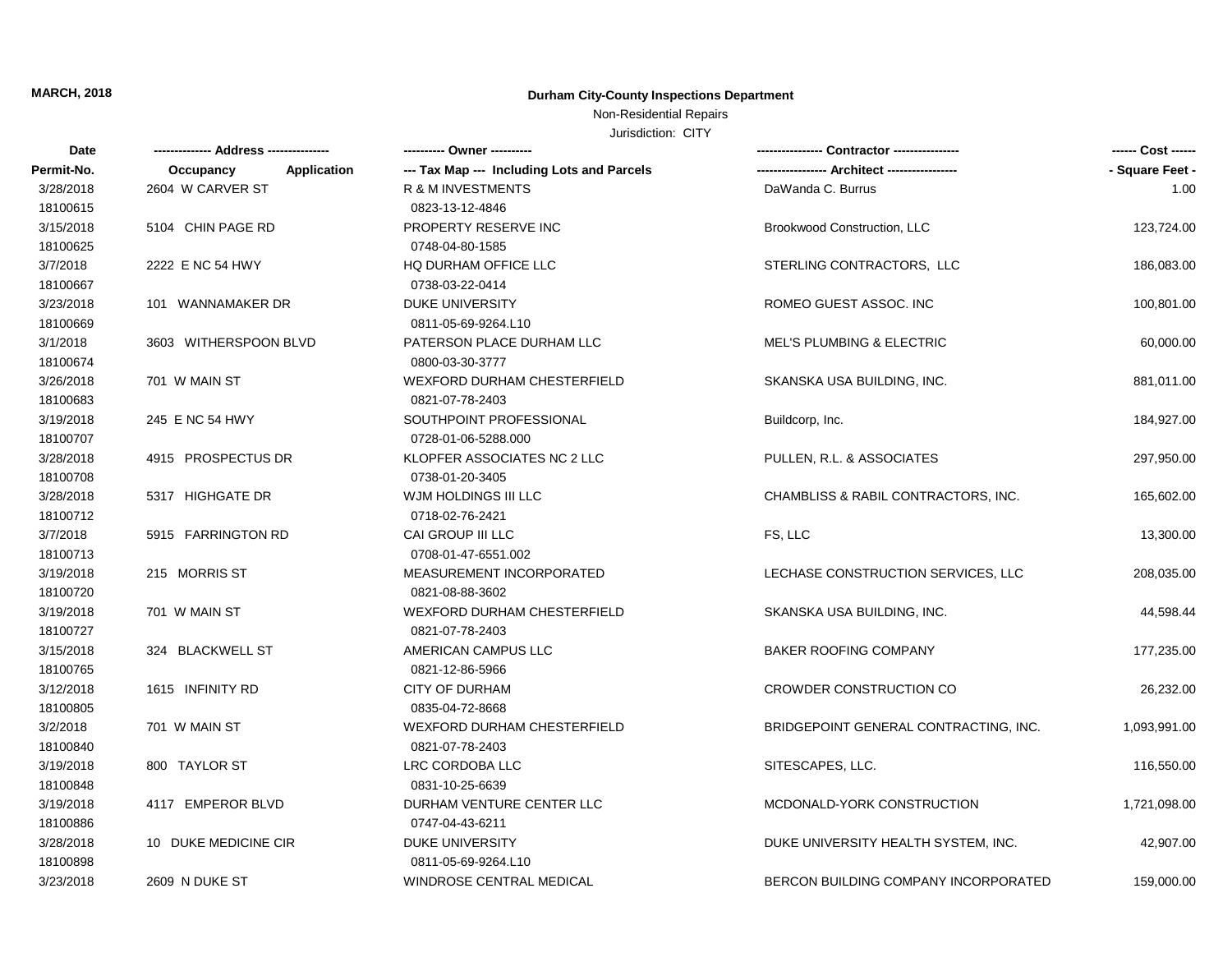## Non-Residential Repairs

| Date       |                                 |                                            |                                       |                 |
|------------|---------------------------------|--------------------------------------------|---------------------------------------|-----------------|
| Permit-No. | <b>Application</b><br>Occupancy | --- Tax Map --- Including Lots and Parcels |                                       | - Square Feet - |
| 3/28/2018  | 2604 W CARVER ST                | R & M INVESTMENTS                          | DaWanda C. Burrus                     | 1.00            |
| 18100615   |                                 | 0823-13-12-4846                            |                                       |                 |
| 3/15/2018  | 5104 CHIN PAGE RD               | PROPERTY RESERVE INC                       | Brookwood Construction, LLC           | 123,724.00      |
| 18100625   |                                 | 0748-04-80-1585                            |                                       |                 |
| 3/7/2018   | 2222 E NC 54 HWY                | HQ DURHAM OFFICE LLC                       | STERLING CONTRACTORS, LLC             | 186,083.00      |
| 18100667   |                                 | 0738-03-22-0414                            |                                       |                 |
| 3/23/2018  | 101 WANNAMAKER DR               | DUKE UNIVERSITY                            | ROMEO GUEST ASSOC. INC                | 100,801.00      |
| 18100669   |                                 | 0811-05-69-9264.L10                        |                                       |                 |
| 3/1/2018   | 3603 WITHERSPOON BLVD           | PATERSON PLACE DURHAM LLC                  | <b>MEL'S PLUMBING &amp; ELECTRIC</b>  | 60,000.00       |
| 18100674   |                                 | 0800-03-30-3777                            |                                       |                 |
| 3/26/2018  | 701 W MAIN ST                   | <b>WEXFORD DURHAM CHESTERFIELD</b>         | SKANSKA USA BUILDING, INC.            | 881,011.00      |
| 18100683   |                                 | 0821-07-78-2403                            |                                       |                 |
| 3/19/2018  | 245 E NC 54 HWY                 | SOUTHPOINT PROFESSIONAL                    | Buildcorp, Inc.                       | 184,927.00      |
| 18100707   |                                 | 0728-01-06-5288.000                        |                                       |                 |
| 3/28/2018  | 4915 PROSPECTUS DR              | KLOPFER ASSOCIATES NC 2 LLC                | PULLEN, R.L. & ASSOCIATES             | 297,950.00      |
| 18100708   |                                 | 0738-01-20-3405                            |                                       |                 |
| 3/28/2018  | 5317 HIGHGATE DR                | WJM HOLDINGS III LLC                       | CHAMBLISS & RABIL CONTRACTORS, INC.   | 165,602.00      |
| 18100712   |                                 | 0718-02-76-2421                            |                                       |                 |
| 3/7/2018   | 5915 FARRINGTON RD              | CAI GROUP III LLC                          | FS, LLC                               | 13,300.00       |
| 18100713   |                                 | 0708-01-47-6551.002                        |                                       |                 |
| 3/19/2018  | 215 MORRIS ST                   | MEASUREMENT INCORPORATED                   | LECHASE CONSTRUCTION SERVICES, LLC    | 208,035.00      |
| 18100720   |                                 | 0821-08-88-3602                            |                                       |                 |
| 3/19/2018  | 701 W MAIN ST                   | <b>WEXFORD DURHAM CHESTERFIELD</b>         | SKANSKA USA BUILDING, INC.            | 44,598.44       |
| 18100727   |                                 | 0821-07-78-2403                            |                                       |                 |
| 3/15/2018  | 324 BLACKWELL ST                | AMERICAN CAMPUS LLC                        | <b>BAKER ROOFING COMPANY</b>          | 177,235.00      |
| 18100765   |                                 | 0821-12-86-5966                            |                                       |                 |
| 3/12/2018  | 1615 INFINITY RD                | <b>CITY OF DURHAM</b>                      | <b>CROWDER CONSTRUCTION CO</b>        | 26,232.00       |
| 18100805   |                                 | 0835-04-72-8668                            |                                       |                 |
| 3/2/2018   | 701 W MAIN ST                   | <b>WEXFORD DURHAM CHESTERFIELD</b>         | BRIDGEPOINT GENERAL CONTRACTING, INC. | 1,093,991.00    |
| 18100840   |                                 | 0821-07-78-2403                            |                                       |                 |
| 3/19/2018  | 800 TAYLOR ST                   | LRC CORDOBA LLC                            | SITESCAPES, LLC.                      | 116,550.00      |
| 18100848   |                                 | 0831-10-25-6639                            |                                       |                 |
| 3/19/2018  | 4117 EMPEROR BLVD               | DURHAM VENTURE CENTER LLC                  | MCDONALD-YORK CONSTRUCTION            | 1,721,098.00    |
| 18100886   |                                 | 0747-04-43-6211                            |                                       |                 |
| 3/28/2018  | 10 DUKE MEDICINE CIR            | <b>DUKE UNIVERSITY</b>                     | DUKE UNIVERSITY HEALTH SYSTEM, INC.   | 42,907.00       |
| 18100898   |                                 | 0811-05-69-9264.L10                        |                                       |                 |
| 3/23/2018  | 2609 N DUKE ST                  | WINDROSE CENTRAL MEDICAL                   | BERCON BUILDING COMPANY INCORPORATED  | 159,000.00      |